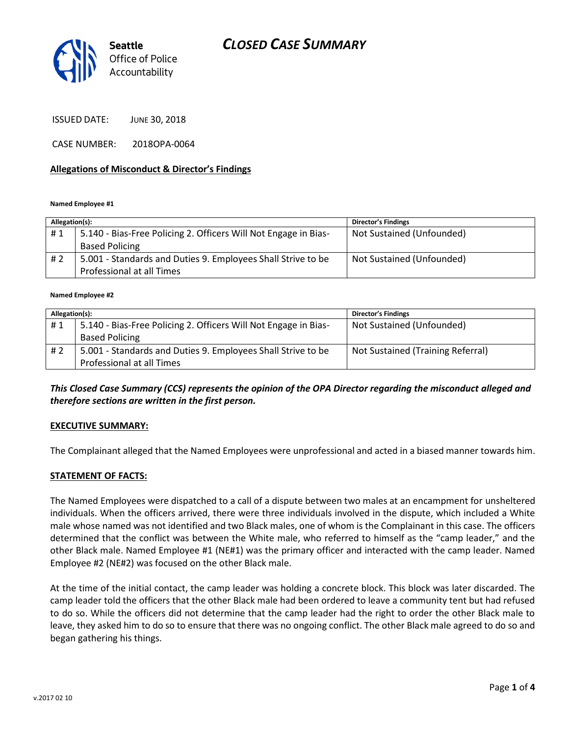# *CLOSED CASE SUMMARY*



ISSUED DATE: JUNE 30, 2018

CASE NUMBER: 2018OPA-0064

#### **Allegations of Misconduct & Director's Findings**

#### **Named Employee #1**

| Allegation(s): |                                                                 | <b>Director's Findings</b> |
|----------------|-----------------------------------------------------------------|----------------------------|
| #1             | 5.140 - Bias-Free Policing 2. Officers Will Not Engage in Bias- | Not Sustained (Unfounded)  |
|                | <b>Based Policing</b>                                           |                            |
| #2             | 5.001 - Standards and Duties 9. Employees Shall Strive to be    | Not Sustained (Unfounded)  |
|                | Professional at all Times                                       |                            |

#### **Named Employee #2**

| Allegation(s): |                                                                 | <b>Director's Findings</b>        |
|----------------|-----------------------------------------------------------------|-----------------------------------|
| #1             | 5.140 - Bias-Free Policing 2. Officers Will Not Engage in Bias- | Not Sustained (Unfounded)         |
|                | <b>Based Policing</b>                                           |                                   |
| # 2            | 5.001 - Standards and Duties 9. Employees Shall Strive to be    | Not Sustained (Training Referral) |
|                | Professional at all Times                                       |                                   |

#### *This Closed Case Summary (CCS) represents the opinion of the OPA Director regarding the misconduct alleged and therefore sections are written in the first person.*

#### **EXECUTIVE SUMMARY:**

The Complainant alleged that the Named Employees were unprofessional and acted in a biased manner towards him.

#### **STATEMENT OF FACTS:**

The Named Employees were dispatched to a call of a dispute between two males at an encampment for unsheltered individuals. When the officers arrived, there were three individuals involved in the dispute, which included a White male whose named was not identified and two Black males, one of whom is the Complainant in this case. The officers determined that the conflict was between the White male, who referred to himself as the "camp leader," and the other Black male. Named Employee #1 (NE#1) was the primary officer and interacted with the camp leader. Named Employee #2 (NE#2) was focused on the other Black male.

At the time of the initial contact, the camp leader was holding a concrete block. This block was later discarded. The camp leader told the officers that the other Black male had been ordered to leave a community tent but had refused to do so. While the officers did not determine that the camp leader had the right to order the other Black male to leave, they asked him to do so to ensure that there was no ongoing conflict. The other Black male agreed to do so and began gathering his things.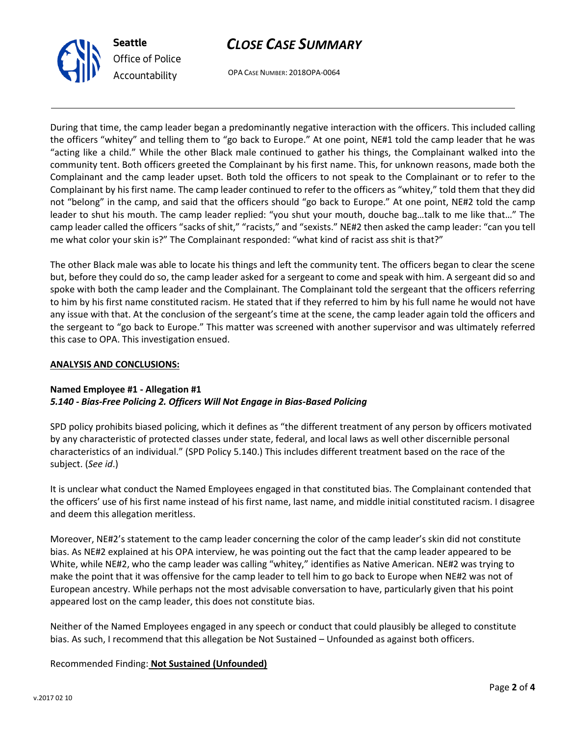



OPA CASE NUMBER: 2018OPA-0064

During that time, the camp leader began a predominantly negative interaction with the officers. This included calling the officers "whitey" and telling them to "go back to Europe." At one point, NE#1 told the camp leader that he was "acting like a child." While the other Black male continued to gather his things, the Complainant walked into the community tent. Both officers greeted the Complainant by his first name. This, for unknown reasons, made both the Complainant and the camp leader upset. Both told the officers to not speak to the Complainant or to refer to the Complainant by his first name. The camp leader continued to refer to the officers as "whitey," told them that they did not "belong" in the camp, and said that the officers should "go back to Europe." At one point, NE#2 told the camp leader to shut his mouth. The camp leader replied: "you shut your mouth, douche bag…talk to me like that…" The camp leader called the officers "sacks of shit," "racists," and "sexists." NE#2 then asked the camp leader: "can you tell me what color your skin is?" The Complainant responded: "what kind of racist ass shit is that?"

The other Black male was able to locate his things and left the community tent. The officers began to clear the scene but, before they could do so, the camp leader asked for a sergeant to come and speak with him. A sergeant did so and spoke with both the camp leader and the Complainant. The Complainant told the sergeant that the officers referring to him by his first name constituted racism. He stated that if they referred to him by his full name he would not have any issue with that. At the conclusion of the sergeant's time at the scene, the camp leader again told the officers and the sergeant to "go back to Europe." This matter was screened with another supervisor and was ultimately referred this case to OPA. This investigation ensued.

### **ANALYSIS AND CONCLUSIONS:**

### **Named Employee #1 - Allegation #1** *5.140 - Bias-Free Policing 2. Officers Will Not Engage in Bias-Based Policing*

SPD policy prohibits biased policing, which it defines as "the different treatment of any person by officers motivated by any characteristic of protected classes under state, federal, and local laws as well other discernible personal characteristics of an individual." (SPD Policy 5.140.) This includes different treatment based on the race of the subject. (*See id*.)

It is unclear what conduct the Named Employees engaged in that constituted bias. The Complainant contended that the officers' use of his first name instead of his first name, last name, and middle initial constituted racism. I disagree and deem this allegation meritless.

Moreover, NE#2's statement to the camp leader concerning the color of the camp leader's skin did not constitute bias. As NE#2 explained at his OPA interview, he was pointing out the fact that the camp leader appeared to be White, while NE#2, who the camp leader was calling "whitey," identifies as Native American. NE#2 was trying to make the point that it was offensive for the camp leader to tell him to go back to Europe when NE#2 was not of European ancestry. While perhaps not the most advisable conversation to have, particularly given that his point appeared lost on the camp leader, this does not constitute bias.

Neither of the Named Employees engaged in any speech or conduct that could plausibly be alleged to constitute bias. As such, I recommend that this allegation be Not Sustained – Unfounded as against both officers.

### Recommended Finding: **Not Sustained (Unfounded)**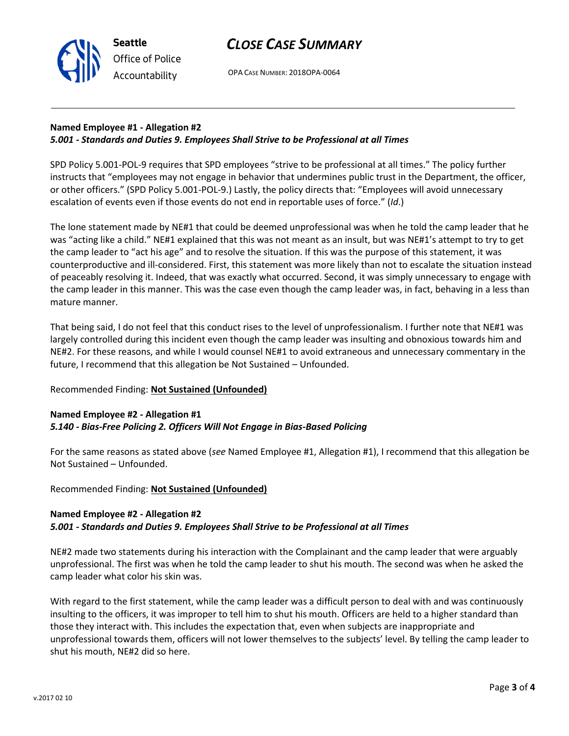

**Seattle**

OPA CASE NUMBER: 2018OPA-0064

### **Named Employee #1 - Allegation #2** *5.001 - Standards and Duties 9. Employees Shall Strive to be Professional at all Times*

SPD Policy 5.001-POL-9 requires that SPD employees "strive to be professional at all times." The policy further instructs that "employees may not engage in behavior that undermines public trust in the Department, the officer, or other officers." (SPD Policy 5.001-POL-9.) Lastly, the policy directs that: "Employees will avoid unnecessary escalation of events even if those events do not end in reportable uses of force." (*Id*.)

The lone statement made by NE#1 that could be deemed unprofessional was when he told the camp leader that he was "acting like a child." NE#1 explained that this was not meant as an insult, but was NE#1's attempt to try to get the camp leader to "act his age" and to resolve the situation. If this was the purpose of this statement, it was counterproductive and ill-considered. First, this statement was more likely than not to escalate the situation instead of peaceably resolving it. Indeed, that was exactly what occurred. Second, it was simply unnecessary to engage with the camp leader in this manner. This was the case even though the camp leader was, in fact, behaving in a less than mature manner.

That being said, I do not feel that this conduct rises to the level of unprofessionalism. I further note that NE#1 was largely controlled during this incident even though the camp leader was insulting and obnoxious towards him and NE#2. For these reasons, and while I would counsel NE#1 to avoid extraneous and unnecessary commentary in the future, I recommend that this allegation be Not Sustained – Unfounded.

# Recommended Finding: **Not Sustained (Unfounded)**

### **Named Employee #2 - Allegation #1** *5.140 - Bias-Free Policing 2. Officers Will Not Engage in Bias-Based Policing*

For the same reasons as stated above (*see* Named Employee #1, Allegation #1), I recommend that this allegation be Not Sustained – Unfounded.

Recommended Finding: **Not Sustained (Unfounded)**

# **Named Employee #2 - Allegation #2**

# *5.001 - Standards and Duties 9. Employees Shall Strive to be Professional at all Times*

NE#2 made two statements during his interaction with the Complainant and the camp leader that were arguably unprofessional. The first was when he told the camp leader to shut his mouth. The second was when he asked the camp leader what color his skin was.

With regard to the first statement, while the camp leader was a difficult person to deal with and was continuously insulting to the officers, it was improper to tell him to shut his mouth. Officers are held to a higher standard than those they interact with. This includes the expectation that, even when subjects are inappropriate and unprofessional towards them, officers will not lower themselves to the subjects' level. By telling the camp leader to shut his mouth, NE#2 did so here.